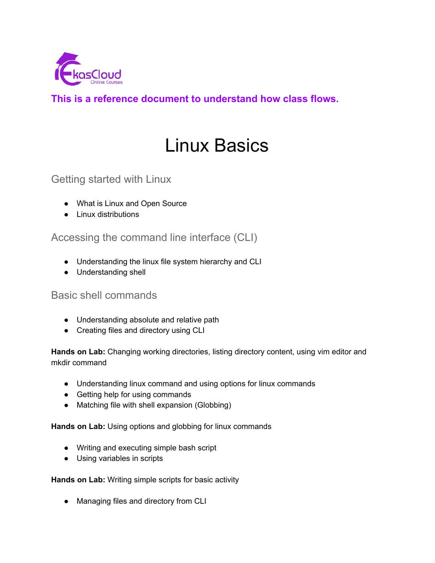

**This is a reference document to understand how class flows.**

# Linux Basics

Getting started with Linux

- What is Linux and Open Source
- Linux distributions

Accessing the command line interface (CLI)

- Understanding the linux file system hierarchy and CLI
- Understanding shell

# Basic shell commands

- Understanding absolute and relative path
- Creating files and directory using CLI

**Hands on Lab:** Changing working directories, listing directory content, using vim editor and mkdir command

- Understanding linux command and using options for linux commands
- Getting help for using commands
- Matching file with shell expansion (Globbing)

**Hands on Lab:** Using options and globbing for linux commands

- Writing and executing simple bash script
- Using variables in scripts

**Hands on Lab:** Writing simple scripts for basic activity

• Managing files and directory from CLI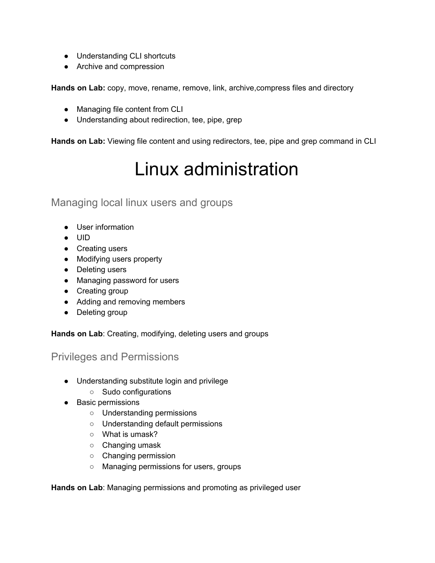- Understanding CLI shortcuts
- Archive and compression

**Hands on Lab:** copy, move, rename, remove, link, archive,compress files and directory

- Managing file content from CLI
- Understanding about redirection, tee, pipe, grep

**Hands on Lab:** Viewing file content and using redirectors, tee, pipe and grep command in CLI

# Linux administration

Managing local linux users and groups

- User information
- UID
- Creating users
- Modifying users property
- Deleting users
- Managing password for users
- Creating group
- Adding and removing members
- Deleting group

**Hands on Lab**: Creating, modifying, deleting users and groups

# Privileges and Permissions

- Understanding substitute login and privilege
	- Sudo configurations
- Basic permissions
	- Understanding permissions
	- Understanding default permissions
	- What is umask?
	- Changing umask
	- Changing permission
	- Managing permissions for users, groups

**Hands on Lab**: Managing permissions and promoting as privileged user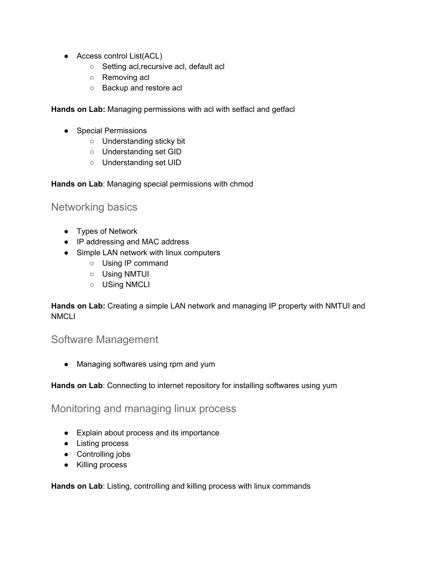- Access control List(ACL)
	- Setting acl,recursive acl, default acl
	- Removing acl
	- Backup and restore acl

**Hands on Lab:** Managing permissions with acl with setfacl and getfacl

- Special Permissions
	- Understanding sticky bit
	- Understanding set GID
	- Understanding set UID

**Hands on Lab**: Managing special permissions with chmod

## Networking basics

- Types of Network
- IP addressing and MAC address
- Simple LAN network with linux computers
	- Using IP command
	- Using NMTUI
	- USing NMCLI

**Hands on Lab:** Creating a simple LAN network and managing IP property with NMTUI and **NMCLI** 

## Software Management

• Managing softwares using rpm and yum

**Hands on Lab**: Connecting to internet repository for installing softwares using yum

Monitoring and managing linux process

- Explain about process and its importance
- Listing process
- Controlling jobs
- Killing process

**Hands on Lab**: Listing, controlling and killing process with linux commands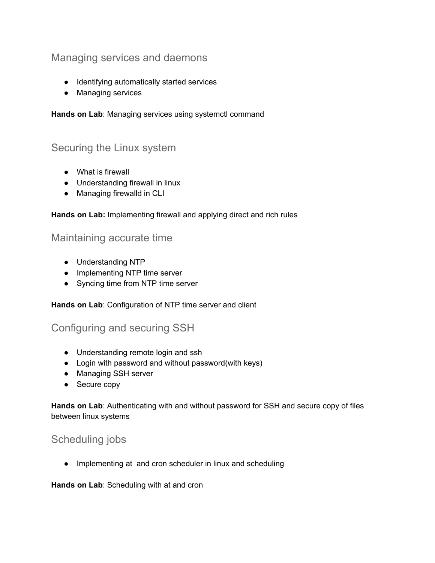# Managing services and daemons

- Identifying automatically started services
- Managing services

**Hands on Lab**: Managing services using systemctl command

# Securing the Linux system

- What is firewall
- Understanding firewall in linux
- Managing firewalld in CLI

### **Hands on Lab:** Implementing firewall and applying direct and rich rules

## Maintaining accurate time

- Understanding NTP
- Implementing NTP time server
- Syncing time from NTP time server

**Hands on Lab**: Configuration of NTP time server and client

# Configuring and securing SSH

- Understanding remote login and ssh
- Login with password and without password(with keys)
- Managing SSH server
- Secure copy

**Hands on Lab**: Authenticating with and without password for SSH and secure copy of files between linux systems

# Scheduling jobs

● Implementing at and cron scheduler in linux and scheduling

**Hands on Lab**: Scheduling with at and cron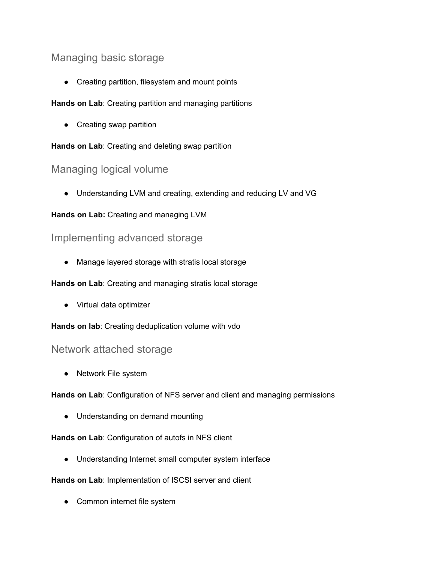# Managing basic storage

• Creating partition, filesystem and mount points

### **Hands on Lab**: Creating partition and managing partitions

• Creating swap partition

### **Hands on Lab**: Creating and deleting swap partition

# Managing logical volume

● Understanding LVM and creating, extending and reducing LV and VG

## **Hands on Lab:** Creating and managing LVM

## Implementing advanced storage

● Manage layered storage with stratis local storage

### **Hands on Lab**: Creating and managing stratis local storage

● Virtual data optimizer

**Hands on lab**: Creating deduplication volume with vdo

## Network attached storage

• Network File system

**Hands on Lab**: Configuration of NFS server and client and managing permissions

● Understanding on demand mounting

## **Hands on Lab**: Configuration of autofs in NFS client

● Understanding Internet small computer system interface

### **Hands on Lab**: Implementation of ISCSI server and client

• Common internet file system